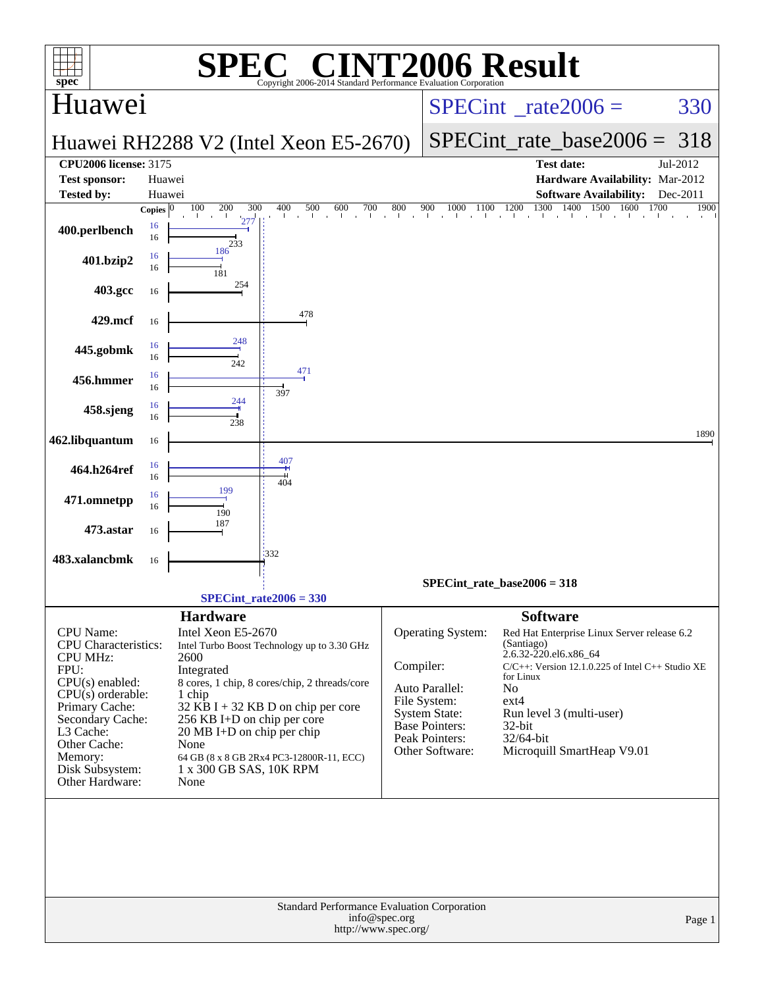| <b>006 Result</b><br>$\mathbf{P}(\mathbb{R})$<br>spec <sup>®</sup><br>Copyright 2006-2014 Standard Performance Evaluation Corporation                                                                                        |                                                                                                                                                                                                                                                                                                                                                                             |                                                                                                                                                                                                                                                                                                                                                                                                                                      |  |  |  |  |  |
|------------------------------------------------------------------------------------------------------------------------------------------------------------------------------------------------------------------------------|-----------------------------------------------------------------------------------------------------------------------------------------------------------------------------------------------------------------------------------------------------------------------------------------------------------------------------------------------------------------------------|--------------------------------------------------------------------------------------------------------------------------------------------------------------------------------------------------------------------------------------------------------------------------------------------------------------------------------------------------------------------------------------------------------------------------------------|--|--|--|--|--|
| Huawei                                                                                                                                                                                                                       |                                                                                                                                                                                                                                                                                                                                                                             | $SPECint^{\circ}$ rate $2006 =$<br>330                                                                                                                                                                                                                                                                                                                                                                                               |  |  |  |  |  |
|                                                                                                                                                                                                                              | Huawei RH2288 V2 (Intel Xeon E5-2670)                                                                                                                                                                                                                                                                                                                                       | SPECint rate base $2006 = 318$                                                                                                                                                                                                                                                                                                                                                                                                       |  |  |  |  |  |
| <b>CPU2006 license: 3175</b><br><b>Test sponsor:</b><br><b>Tested by:</b>                                                                                                                                                    | Huawei<br>Huawei<br>100<br>200<br>300<br>500<br>600<br>400<br>700<br>Copies $ 0$                                                                                                                                                                                                                                                                                            | <b>Test date:</b><br>Jul-2012<br>Hardware Availability: Mar-2012<br><b>Software Availability:</b><br>Dec-2011<br>1300 1400 1500 1600<br>1700<br>800<br>900<br>1000<br>1200<br>1900<br>1100                                                                                                                                                                                                                                           |  |  |  |  |  |
| 400.perlbench                                                                                                                                                                                                                | the contract of the con-<br>de la c<br>$\sim 10^{-11}$<br>277<br>16<br>16<br>233                                                                                                                                                                                                                                                                                            | the contract that the contract that the contract and the                                                                                                                                                                                                                                                                                                                                                                             |  |  |  |  |  |
| 401.bzip2                                                                                                                                                                                                                    | 186<br>16<br>16<br>181                                                                                                                                                                                                                                                                                                                                                      |                                                                                                                                                                                                                                                                                                                                                                                                                                      |  |  |  |  |  |
| 403.gcc                                                                                                                                                                                                                      | 254<br>16                                                                                                                                                                                                                                                                                                                                                                   |                                                                                                                                                                                                                                                                                                                                                                                                                                      |  |  |  |  |  |
| 429.mcf                                                                                                                                                                                                                      | 478<br>16                                                                                                                                                                                                                                                                                                                                                                   |                                                                                                                                                                                                                                                                                                                                                                                                                                      |  |  |  |  |  |
| 445.gobmk                                                                                                                                                                                                                    | 248<br>16<br>16<br>242                                                                                                                                                                                                                                                                                                                                                      |                                                                                                                                                                                                                                                                                                                                                                                                                                      |  |  |  |  |  |
| 456.hmmer                                                                                                                                                                                                                    | 471<br>16<br>16<br>397                                                                                                                                                                                                                                                                                                                                                      |                                                                                                                                                                                                                                                                                                                                                                                                                                      |  |  |  |  |  |
| 458.sjeng                                                                                                                                                                                                                    | 244<br>16<br>16<br>238                                                                                                                                                                                                                                                                                                                                                      |                                                                                                                                                                                                                                                                                                                                                                                                                                      |  |  |  |  |  |
| 462.libquantum                                                                                                                                                                                                               | 16<br>407                                                                                                                                                                                                                                                                                                                                                                   | 1890                                                                                                                                                                                                                                                                                                                                                                                                                                 |  |  |  |  |  |
| 464.h264ref                                                                                                                                                                                                                  | 16<br>16<br>404<br>199                                                                                                                                                                                                                                                                                                                                                      |                                                                                                                                                                                                                                                                                                                                                                                                                                      |  |  |  |  |  |
| 471.omnetpp                                                                                                                                                                                                                  | 16<br>16<br>190<br>187                                                                                                                                                                                                                                                                                                                                                      |                                                                                                                                                                                                                                                                                                                                                                                                                                      |  |  |  |  |  |
| 473.astar                                                                                                                                                                                                                    | 16<br>1332                                                                                                                                                                                                                                                                                                                                                                  |                                                                                                                                                                                                                                                                                                                                                                                                                                      |  |  |  |  |  |
| 483.xalancbmk                                                                                                                                                                                                                | 16                                                                                                                                                                                                                                                                                                                                                                          | SPECint rate base $2006 = 318$                                                                                                                                                                                                                                                                                                                                                                                                       |  |  |  |  |  |
|                                                                                                                                                                                                                              | $SPECint_rate2006 = 330$                                                                                                                                                                                                                                                                                                                                                    |                                                                                                                                                                                                                                                                                                                                                                                                                                      |  |  |  |  |  |
| CPU Name:<br>CPU Characteristics:<br><b>CPU MHz:</b><br>FPU:<br>$CPU(s)$ enabled:<br>$CPU(s)$ orderable:<br>Primary Cache:<br>Secondary Cache:<br>L3 Cache:<br>Other Cache:<br>Memory:<br>Disk Subsystem:<br>Other Hardware: | <b>Hardware</b><br>Intel Xeon E5-2670<br>Intel Turbo Boost Technology up to 3.30 GHz<br>2600<br>Integrated<br>8 cores, 1 chip, 8 cores/chip, 2 threads/core<br>1 chip<br>$32$ KB I + 32 KB D on chip per core<br>256 KB I+D on chip per core<br>$20 \text{ MB I+D}$ on chip per chip<br>None<br>64 GB (8 x 8 GB 2Rx4 PC3-12800R-11, ECC)<br>1 x 300 GB SAS, 10K RPM<br>None | <b>Software</b><br>Operating System:<br>Red Hat Enterprise Linux Server release 6.2<br>(Santiago)<br>2.6.32-220.el6.x86 64<br>Compiler:<br>$C/C++$ : Version 12.1.0.225 of Intel $C++$ Studio XE<br>for Linux<br>Auto Parallel:<br>No<br>File System:<br>$ext{4}$<br><b>System State:</b><br>Run level 3 (multi-user)<br>Base Pointers:<br>32-bit<br>Peak Pointers:<br>$32/64$ -bit<br>Microquill SmartHeap V9.01<br>Other Software: |  |  |  |  |  |
| Standard Performance Evaluation Corporation<br>info@spec.org<br>Page 1<br>http://www.spec.org/                                                                                                                               |                                                                                                                                                                                                                                                                                                                                                                             |                                                                                                                                                                                                                                                                                                                                                                                                                                      |  |  |  |  |  |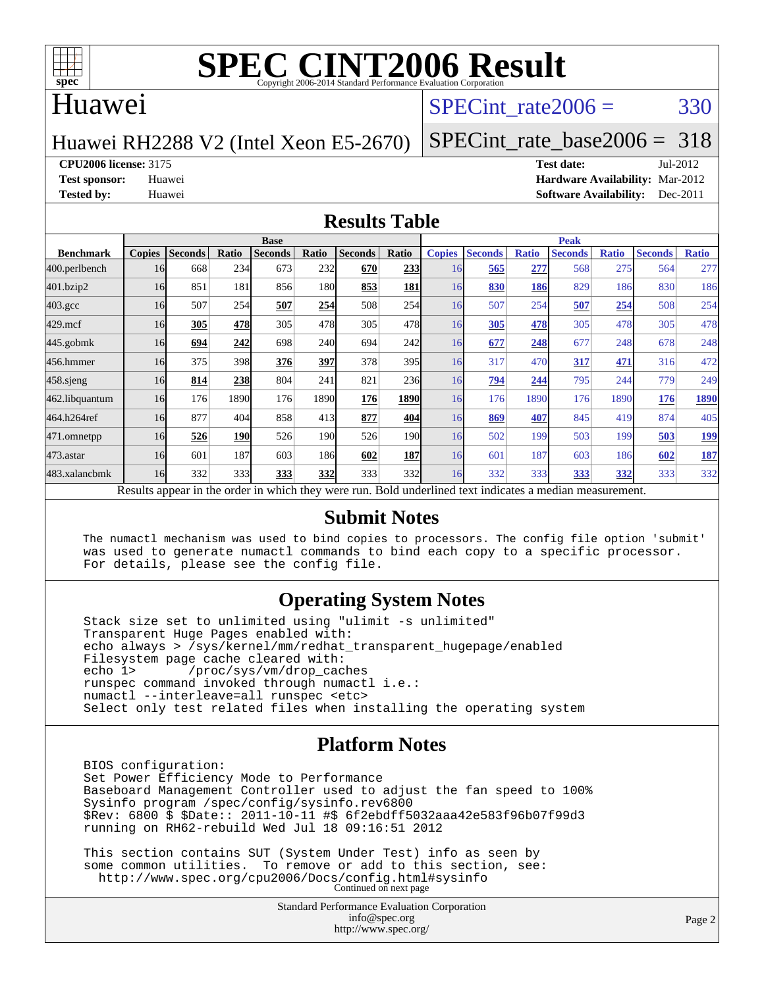

### Huawei

### SPECint rate $2006 = 330$

#### Huawei RH2288 V2 (Intel Xeon E5-2670)

[SPECint\\_rate\\_base2006 =](http://www.spec.org/auto/cpu2006/Docs/result-fields.html#SPECintratebase2006) 318

**[CPU2006 license:](http://www.spec.org/auto/cpu2006/Docs/result-fields.html#CPU2006license)** 3175 **[Test date:](http://www.spec.org/auto/cpu2006/Docs/result-fields.html#Testdate)** Jul-2012

**[Test sponsor:](http://www.spec.org/auto/cpu2006/Docs/result-fields.html#Testsponsor)** Huawei **[Hardware Availability:](http://www.spec.org/auto/cpu2006/Docs/result-fields.html#HardwareAvailability)** Mar-2012 **[Tested by:](http://www.spec.org/auto/cpu2006/Docs/result-fields.html#Testedby)** Huawei **[Software Availability:](http://www.spec.org/auto/cpu2006/Docs/result-fields.html#SoftwareAvailability)** Dec-2011

#### **[Results Table](http://www.spec.org/auto/cpu2006/Docs/result-fields.html#ResultsTable)**

|                    | <b>Base</b>   |                |       |                                                                                                          |            |                |              |               | <b>Peak</b>    |              |                |              |                |              |  |
|--------------------|---------------|----------------|-------|----------------------------------------------------------------------------------------------------------|------------|----------------|--------------|---------------|----------------|--------------|----------------|--------------|----------------|--------------|--|
| <b>Benchmark</b>   | <b>Copies</b> | <b>Seconds</b> | Ratio | <b>Seconds</b>                                                                                           | Ratio      | <b>Seconds</b> | Ratio        | <b>Copies</b> | <b>Seconds</b> | <b>Ratio</b> | <b>Seconds</b> | <b>Ratio</b> | <b>Seconds</b> | <b>Ratio</b> |  |
| 400.perlbench      | 16            | 668            | 234   | 673                                                                                                      | 232        | 670            | 233          | 16            | 565            | 277          | 568            | 275          | 564            | 277          |  |
| 401.bzip2          | 16            | 851            | 181   | 856                                                                                                      | 180        | 853            | 181          | 16            | 830            | 186          | 829            | 186          | 830            | 186          |  |
| $403.\mathrm{gcc}$ | 16            | 507            | 254   | 507                                                                                                      | 254        | 508            | 254          | 16            | 507            | 254          | 507            | 254          | 508            | 254          |  |
| $429$ .mcf         | 16            | 305            | 478   | 305                                                                                                      | 478        | 305            | 478          | 16            | 305            | 478          | 305            | 478          | 305            | 478          |  |
| $445$ .gobmk       | 16            | 694            | 242   | 698                                                                                                      | <b>240</b> | 694            | 242l         | 16            | 677            | 248          | 677            | 248          | 678            | 248          |  |
| 456.hmmer          | 16            | 375            | 398   | 376                                                                                                      | 397        | 378            | 395          | 16            | 317            | 470          | 317            | 471          | 316            | 472          |  |
| $458$ .sjeng       | 16            | 814            | 238   | 804                                                                                                      | 241        | 821            | 236          | 16            | 794            | 244          | 795            | 244          | 779            | 249          |  |
| 462.libquantum     | 16            | 176            | 1890  | 176                                                                                                      | 1890       | 176            | 1890         | 16            | 176            | 1890         | 176            | 1890         | 176            | 1890         |  |
| 464.h264ref        | 16            | 877            | 404   | 858                                                                                                      | 413        | 877            | 404l         | 16            | 869            | 407          | 845            | 419          | 874            | 405          |  |
| 471.omnetpp        | 16            | 526            | 190   | 526                                                                                                      | 190        | 526            | 190 <b> </b> | 16            | 502            | 199          | 503            | 199          | 503            | <u>199</u>   |  |
| $473$ . astar      | 16            | 601            | 187   | 603                                                                                                      | 186I       | 602            | <b>187</b>   | 16            | 601            | 187          | 603            | 186          | 602            | <b>187</b>   |  |
| 483.xalancbmk      | 16            | 332            | 333   | 333                                                                                                      | 332        | 333            | 332          | 16            | 332            | 333          | 333            | <u>332</u>   | 333            | 332          |  |
|                    |               |                |       | Results appear in the order in which they were run. Bold underlined text indicates a median measurement. |            |                |              |               |                |              |                |              |                |              |  |

#### **[Submit Notes](http://www.spec.org/auto/cpu2006/Docs/result-fields.html#SubmitNotes)**

 The numactl mechanism was used to bind copies to processors. The config file option 'submit' was used to generate numactl commands to bind each copy to a specific processor. For details, please see the config file.

#### **[Operating System Notes](http://www.spec.org/auto/cpu2006/Docs/result-fields.html#OperatingSystemNotes)**

 Stack size set to unlimited using "ulimit -s unlimited" Transparent Huge Pages enabled with: echo always > /sys/kernel/mm/redhat\_transparent\_hugepage/enabled Filesystem page cache cleared with:<br>echo 1> /proc/sys/vm/drop cac /proc/sys/vm/drop\_caches runspec command invoked through numactl i.e.: numactl --interleave=all runspec <etc> Select only test related files when installing the operating system

#### **[Platform Notes](http://www.spec.org/auto/cpu2006/Docs/result-fields.html#PlatformNotes)**

 BIOS configuration: Set Power Efficiency Mode to Performance Baseboard Management Controller used to adjust the fan speed to 100% Sysinfo program /spec/config/sysinfo.rev6800 \$Rev: 6800 \$ \$Date:: 2011-10-11 #\$ 6f2ebdff5032aaa42e583f96b07f99d3 running on RH62-rebuild Wed Jul 18 09:16:51 2012

 This section contains SUT (System Under Test) info as seen by some common utilities. To remove or add to this section, see: <http://www.spec.org/cpu2006/Docs/config.html#sysinfo> Continued on next page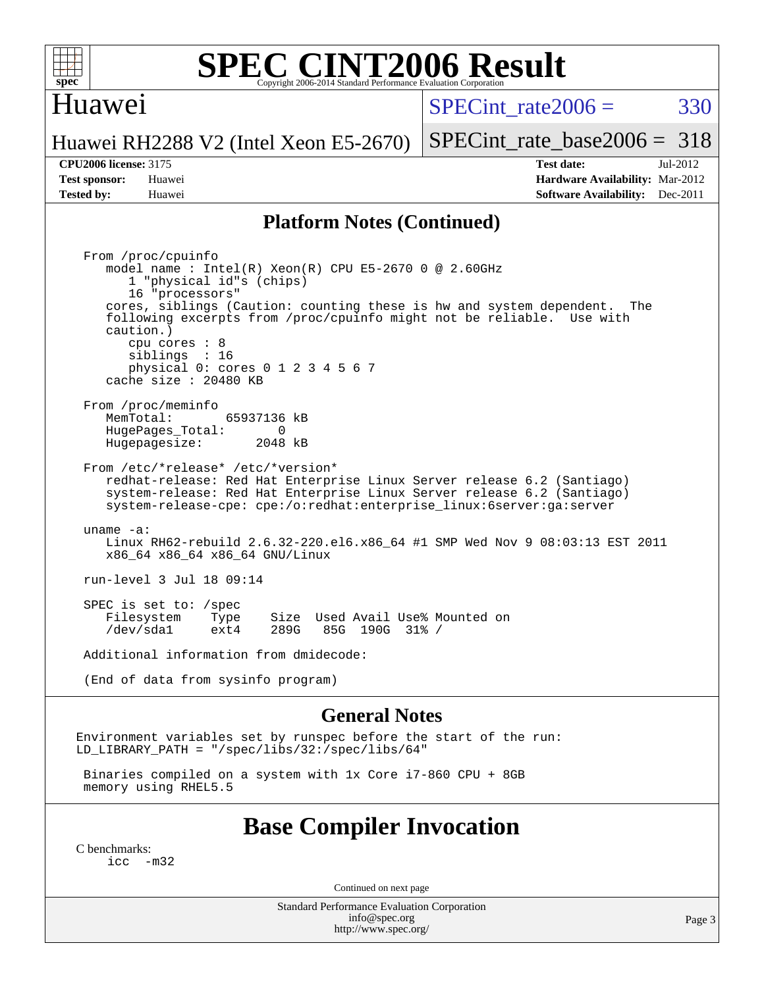

### Huawei

SPECint rate $2006 = 330$ 

[SPECint\\_rate\\_base2006 =](http://www.spec.org/auto/cpu2006/Docs/result-fields.html#SPECintratebase2006) 318

#### Huawei RH2288 V2 (Intel Xeon E5-2670)

**[CPU2006 license:](http://www.spec.org/auto/cpu2006/Docs/result-fields.html#CPU2006license)** 3175 **[Test date:](http://www.spec.org/auto/cpu2006/Docs/result-fields.html#Testdate)** Jul-2012 **[Test sponsor:](http://www.spec.org/auto/cpu2006/Docs/result-fields.html#Testsponsor)** Huawei **[Hardware Availability:](http://www.spec.org/auto/cpu2006/Docs/result-fields.html#HardwareAvailability)** Mar-2012 **[Tested by:](http://www.spec.org/auto/cpu2006/Docs/result-fields.html#Testedby)** Huawei **[Software Availability:](http://www.spec.org/auto/cpu2006/Docs/result-fields.html#SoftwareAvailability)** Dec-2011

#### **[Platform Notes \(Continued\)](http://www.spec.org/auto/cpu2006/Docs/result-fields.html#PlatformNotes)**

 From /proc/cpuinfo model name : Intel(R) Xeon(R) CPU E5-2670 0 @ 2.60GHz 1 "physical id"s (chips) 16 "processors" cores, siblings (Caution: counting these is hw and system dependent. The following excerpts from /proc/cpuinfo might not be reliable. Use with caution.) cpu cores : 8 siblings : 16 physical 0: cores 0 1 2 3 4 5 6 7 cache size : 20480 KB From /proc/meminfo<br>MemTotal: 65937136 kB HugePages\_Total: 0<br>Hugepagesize: 2048 kB Hugepagesize: From /etc/\*release\* /etc/\*version\* redhat-release: Red Hat Enterprise Linux Server release 6.2 (Santiago) system-release: Red Hat Enterprise Linux Server release 6.2 (Santiago) system-release-cpe: cpe:/o:redhat:enterprise\_linux:6server:ga:server uname -a: Linux RH62-rebuild 2.6.32-220.el6.x86\_64 #1 SMP Wed Nov 9 08:03:13 EST 2011 x86\_64 x86\_64 x86\_64 GNU/Linux run-level 3 Jul 18 09:14 SPEC is set to: /spec Filesystem Type Size Used Avail Use% Mounted on<br>
/dev/sdal ext4 289G 85G 190G 31% / 85G 190G 31% / Additional information from dmidecode: (End of data from sysinfo program)

#### **[General Notes](http://www.spec.org/auto/cpu2006/Docs/result-fields.html#GeneralNotes)**

Environment variables set by runspec before the start of the run: LD LIBRARY PATH = "/spec/libs/32:/spec/libs/64"

 Binaries compiled on a system with 1x Core i7-860 CPU + 8GB memory using RHEL5.5

### **[Base Compiler Invocation](http://www.spec.org/auto/cpu2006/Docs/result-fields.html#BaseCompilerInvocation)**

[C benchmarks](http://www.spec.org/auto/cpu2006/Docs/result-fields.html#Cbenchmarks):  $inc -m32$ 

Continued on next page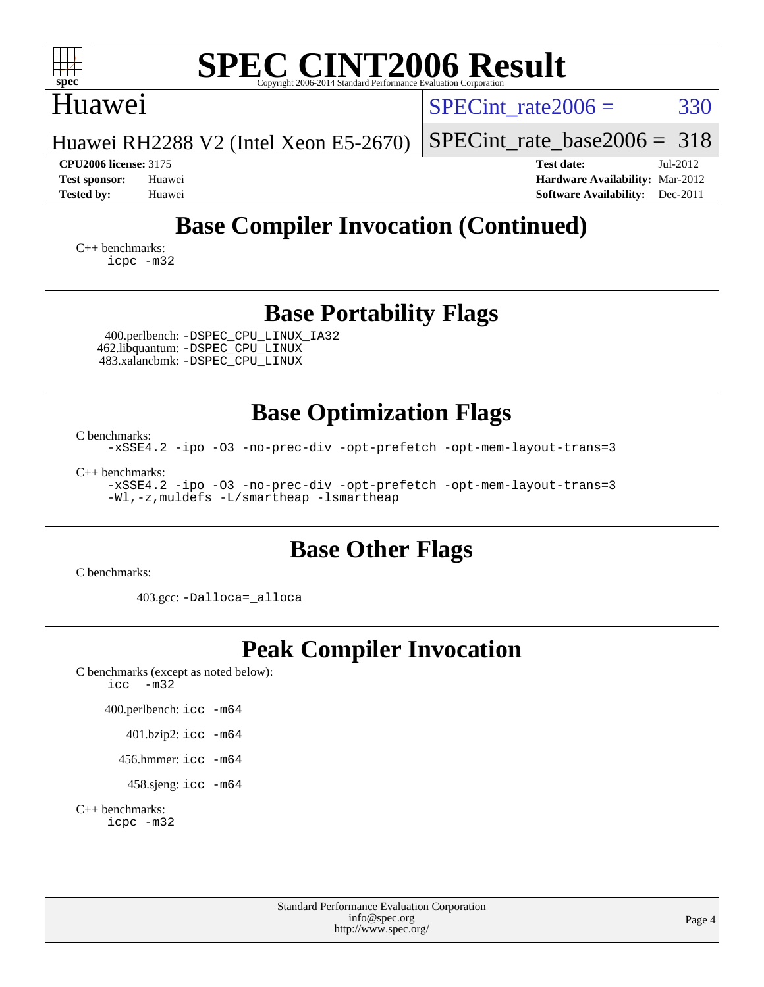| <b>SPEC CINT2006 Result</b><br>Convright 2006-2014 Standard Performance Evaluation Corporation           |  |  |  |  |  |  |  |
|----------------------------------------------------------------------------------------------------------|--|--|--|--|--|--|--|
| 330<br>SPECint rate $2006 =$                                                                             |  |  |  |  |  |  |  |
| SPECint rate base $2006 = 318$                                                                           |  |  |  |  |  |  |  |
| Test date:<br>Jul-2012<br>Hardware Availability: Mar-2012<br><b>Software Availability:</b><br>$Dec-2011$ |  |  |  |  |  |  |  |
| <b>Tested by:</b><br><b>Base Compiler Invocation (Continued)</b><br>$C_{++}$ benchmarks:<br>icpc -m32    |  |  |  |  |  |  |  |
| <b>Base Portability Flags</b>                                                                            |  |  |  |  |  |  |  |
|                                                                                                          |  |  |  |  |  |  |  |
| <b>Base Optimization Flags</b>                                                                           |  |  |  |  |  |  |  |
|                                                                                                          |  |  |  |  |  |  |  |

[C benchmarks](http://www.spec.org/auto/cpu2006/Docs/result-fields.html#Cbenchmarks): [-xSSE4.2](http://www.spec.org/cpu2006/results/res2012q3/cpu2006-20120722-23799.flags.html#user_CCbase_f-xSSE42_f91528193cf0b216347adb8b939d4107) [-ipo](http://www.spec.org/cpu2006/results/res2012q3/cpu2006-20120722-23799.flags.html#user_CCbase_f-ipo) [-O3](http://www.spec.org/cpu2006/results/res2012q3/cpu2006-20120722-23799.flags.html#user_CCbase_f-O3) [-no-prec-div](http://www.spec.org/cpu2006/results/res2012q3/cpu2006-20120722-23799.flags.html#user_CCbase_f-no-prec-div) [-opt-prefetch](http://www.spec.org/cpu2006/results/res2012q3/cpu2006-20120722-23799.flags.html#user_CCbase_f-opt-prefetch) [-opt-mem-layout-trans=3](http://www.spec.org/cpu2006/results/res2012q3/cpu2006-20120722-23799.flags.html#user_CCbase_f-opt-mem-layout-trans_a7b82ad4bd7abf52556d4961a2ae94d5)

[C++ benchmarks:](http://www.spec.org/auto/cpu2006/Docs/result-fields.html#CXXbenchmarks) [-xSSE4.2](http://www.spec.org/cpu2006/results/res2012q3/cpu2006-20120722-23799.flags.html#user_CXXbase_f-xSSE42_f91528193cf0b216347adb8b939d4107) [-ipo](http://www.spec.org/cpu2006/results/res2012q3/cpu2006-20120722-23799.flags.html#user_CXXbase_f-ipo) [-O3](http://www.spec.org/cpu2006/results/res2012q3/cpu2006-20120722-23799.flags.html#user_CXXbase_f-O3) [-no-prec-div](http://www.spec.org/cpu2006/results/res2012q3/cpu2006-20120722-23799.flags.html#user_CXXbase_f-no-prec-div) [-opt-prefetch](http://www.spec.org/cpu2006/results/res2012q3/cpu2006-20120722-23799.flags.html#user_CXXbase_f-opt-prefetch) [-opt-mem-layout-trans=3](http://www.spec.org/cpu2006/results/res2012q3/cpu2006-20120722-23799.flags.html#user_CXXbase_f-opt-mem-layout-trans_a7b82ad4bd7abf52556d4961a2ae94d5) [-Wl,-z,muldefs](http://www.spec.org/cpu2006/results/res2012q3/cpu2006-20120722-23799.flags.html#user_CXXbase_link_force_multiple1_74079c344b956b9658436fd1b6dd3a8a) [-L/smartheap -lsmartheap](http://www.spec.org/cpu2006/results/res2012q3/cpu2006-20120722-23799.flags.html#user_CXXbase_SmartHeap_7c9e394a5779e1a7fec7c221e123830c)

## **[Base Other Flags](http://www.spec.org/auto/cpu2006/Docs/result-fields.html#BaseOtherFlags)**

[C benchmarks](http://www.spec.org/auto/cpu2006/Docs/result-fields.html#Cbenchmarks):

403.gcc: [-Dalloca=\\_alloca](http://www.spec.org/cpu2006/results/res2012q3/cpu2006-20120722-23799.flags.html#b403.gcc_baseEXTRA_CFLAGS_Dalloca_be3056838c12de2578596ca5467af7f3)

# **[Peak Compiler Invocation](http://www.spec.org/auto/cpu2006/Docs/result-fields.html#PeakCompilerInvocation)**

[C benchmarks \(except as noted below\)](http://www.spec.org/auto/cpu2006/Docs/result-fields.html#Cbenchmarksexceptasnotedbelow):  $\text{icc}$   $-\text{m32}$ 

400.perlbench: [icc -m64](http://www.spec.org/cpu2006/results/res2012q3/cpu2006-20120722-23799.flags.html#user_peakCCLD400_perlbench_intel_icc_64bit_bda6cc9af1fdbb0edc3795bac97ada53)

401.bzip2: [icc -m64](http://www.spec.org/cpu2006/results/res2012q3/cpu2006-20120722-23799.flags.html#user_peakCCLD401_bzip2_intel_icc_64bit_bda6cc9af1fdbb0edc3795bac97ada53)

456.hmmer: [icc -m64](http://www.spec.org/cpu2006/results/res2012q3/cpu2006-20120722-23799.flags.html#user_peakCCLD456_hmmer_intel_icc_64bit_bda6cc9af1fdbb0edc3795bac97ada53)

458.sjeng: [icc -m64](http://www.spec.org/cpu2006/results/res2012q3/cpu2006-20120722-23799.flags.html#user_peakCCLD458_sjeng_intel_icc_64bit_bda6cc9af1fdbb0edc3795bac97ada53)

[C++ benchmarks:](http://www.spec.org/auto/cpu2006/Docs/result-fields.html#CXXbenchmarks) [icpc -m32](http://www.spec.org/cpu2006/results/res2012q3/cpu2006-20120722-23799.flags.html#user_CXXpeak_intel_icpc_4e5a5ef1a53fd332b3c49e69c3330699)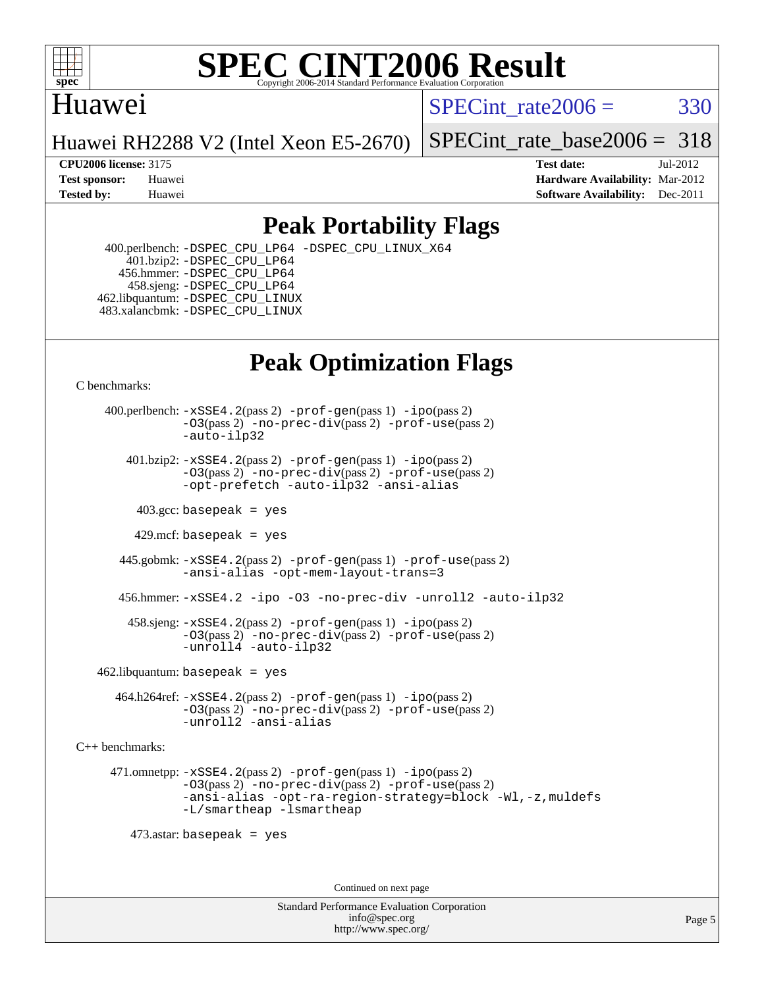

## Huawei

SPECint rate $2006 = 330$ 

Huawei RH2288 V2 (Intel Xeon E5-2670)

[SPECint\\_rate\\_base2006 =](http://www.spec.org/auto/cpu2006/Docs/result-fields.html#SPECintratebase2006) 318

**[CPU2006 license:](http://www.spec.org/auto/cpu2006/Docs/result-fields.html#CPU2006license)** 3175 **[Test date:](http://www.spec.org/auto/cpu2006/Docs/result-fields.html#Testdate)** Jul-2012 **[Test sponsor:](http://www.spec.org/auto/cpu2006/Docs/result-fields.html#Testsponsor)** Huawei **[Hardware Availability:](http://www.spec.org/auto/cpu2006/Docs/result-fields.html#HardwareAvailability)** Mar-2012 **[Tested by:](http://www.spec.org/auto/cpu2006/Docs/result-fields.html#Testedby)** Huawei **[Software Availability:](http://www.spec.org/auto/cpu2006/Docs/result-fields.html#SoftwareAvailability)** Dec-2011

## **[Peak Portability Flags](http://www.spec.org/auto/cpu2006/Docs/result-fields.html#PeakPortabilityFlags)**

 400.perlbench: [-DSPEC\\_CPU\\_LP64](http://www.spec.org/cpu2006/results/res2012q3/cpu2006-20120722-23799.flags.html#b400.perlbench_peakCPORTABILITY_DSPEC_CPU_LP64) [-DSPEC\\_CPU\\_LINUX\\_X64](http://www.spec.org/cpu2006/results/res2012q3/cpu2006-20120722-23799.flags.html#b400.perlbench_peakCPORTABILITY_DSPEC_CPU_LINUX_X64) 401.bzip2: [-DSPEC\\_CPU\\_LP64](http://www.spec.org/cpu2006/results/res2012q3/cpu2006-20120722-23799.flags.html#suite_peakCPORTABILITY401_bzip2_DSPEC_CPU_LP64) 456.hmmer: [-DSPEC\\_CPU\\_LP64](http://www.spec.org/cpu2006/results/res2012q3/cpu2006-20120722-23799.flags.html#suite_peakCPORTABILITY456_hmmer_DSPEC_CPU_LP64) 458.sjeng: [-DSPEC\\_CPU\\_LP64](http://www.spec.org/cpu2006/results/res2012q3/cpu2006-20120722-23799.flags.html#suite_peakCPORTABILITY458_sjeng_DSPEC_CPU_LP64) 462.libquantum: [-DSPEC\\_CPU\\_LINUX](http://www.spec.org/cpu2006/results/res2012q3/cpu2006-20120722-23799.flags.html#b462.libquantum_peakCPORTABILITY_DSPEC_CPU_LINUX) 483.xalancbmk: [-DSPEC\\_CPU\\_LINUX](http://www.spec.org/cpu2006/results/res2012q3/cpu2006-20120722-23799.flags.html#b483.xalancbmk_peakCXXPORTABILITY_DSPEC_CPU_LINUX)

# **[Peak Optimization Flags](http://www.spec.org/auto/cpu2006/Docs/result-fields.html#PeakOptimizationFlags)**

[C benchmarks](http://www.spec.org/auto/cpu2006/Docs/result-fields.html#Cbenchmarks):

 400.perlbench: [-xSSE4.2](http://www.spec.org/cpu2006/results/res2012q3/cpu2006-20120722-23799.flags.html#user_peakPASS2_CFLAGSPASS2_LDCFLAGS400_perlbench_f-xSSE42_f91528193cf0b216347adb8b939d4107)(pass 2) [-prof-gen](http://www.spec.org/cpu2006/results/res2012q3/cpu2006-20120722-23799.flags.html#user_peakPASS1_CFLAGSPASS1_LDCFLAGS400_perlbench_prof_gen_e43856698f6ca7b7e442dfd80e94a8fc)(pass 1) [-ipo](http://www.spec.org/cpu2006/results/res2012q3/cpu2006-20120722-23799.flags.html#user_peakPASS2_CFLAGSPASS2_LDCFLAGS400_perlbench_f-ipo)(pass 2) [-O3](http://www.spec.org/cpu2006/results/res2012q3/cpu2006-20120722-23799.flags.html#user_peakPASS2_CFLAGSPASS2_LDCFLAGS400_perlbench_f-O3)(pass 2) [-no-prec-div](http://www.spec.org/cpu2006/results/res2012q3/cpu2006-20120722-23799.flags.html#user_peakPASS2_CFLAGSPASS2_LDCFLAGS400_perlbench_f-no-prec-div)(pass 2) [-prof-use](http://www.spec.org/cpu2006/results/res2012q3/cpu2006-20120722-23799.flags.html#user_peakPASS2_CFLAGSPASS2_LDCFLAGS400_perlbench_prof_use_bccf7792157ff70d64e32fe3e1250b55)(pass 2) [-auto-ilp32](http://www.spec.org/cpu2006/results/res2012q3/cpu2006-20120722-23799.flags.html#user_peakCOPTIMIZE400_perlbench_f-auto-ilp32)  $401.bzip2: -xSSE4.2(pass 2) -prof-qen(pass 1) -ipo(pass 2)$  $401.bzip2: -xSSE4.2(pass 2) -prof-qen(pass 1) -ipo(pass 2)$  $401.bzip2: -xSSE4.2(pass 2) -prof-qen(pass 1) -ipo(pass 2)$  $401.bzip2: -xSSE4.2(pass 2) -prof-qen(pass 1) -ipo(pass 2)$  $401.bzip2: -xSSE4.2(pass 2) -prof-qen(pass 1) -ipo(pass 2)$ [-O3](http://www.spec.org/cpu2006/results/res2012q3/cpu2006-20120722-23799.flags.html#user_peakPASS2_CFLAGSPASS2_LDCFLAGS401_bzip2_f-O3)(pass 2) [-no-prec-div](http://www.spec.org/cpu2006/results/res2012q3/cpu2006-20120722-23799.flags.html#user_peakPASS2_CFLAGSPASS2_LDCFLAGS401_bzip2_f-no-prec-div)(pass 2) [-prof-use](http://www.spec.org/cpu2006/results/res2012q3/cpu2006-20120722-23799.flags.html#user_peakPASS2_CFLAGSPASS2_LDCFLAGS401_bzip2_prof_use_bccf7792157ff70d64e32fe3e1250b55)(pass 2) [-opt-prefetch](http://www.spec.org/cpu2006/results/res2012q3/cpu2006-20120722-23799.flags.html#user_peakCOPTIMIZE401_bzip2_f-opt-prefetch) [-auto-ilp32](http://www.spec.org/cpu2006/results/res2012q3/cpu2006-20120722-23799.flags.html#user_peakCOPTIMIZE401_bzip2_f-auto-ilp32) [-ansi-alias](http://www.spec.org/cpu2006/results/res2012q3/cpu2006-20120722-23799.flags.html#user_peakCOPTIMIZE401_bzip2_f-ansi-alias)  $403.\text{sec: basepeak}$  = yes 429.mcf: basepeak = yes 445.gobmk: [-xSSE4.2](http://www.spec.org/cpu2006/results/res2012q3/cpu2006-20120722-23799.flags.html#user_peakPASS2_CFLAGSPASS2_LDCFLAGS445_gobmk_f-xSSE42_f91528193cf0b216347adb8b939d4107)(pass 2) [-prof-gen](http://www.spec.org/cpu2006/results/res2012q3/cpu2006-20120722-23799.flags.html#user_peakPASS1_CFLAGSPASS1_LDCFLAGS445_gobmk_prof_gen_e43856698f6ca7b7e442dfd80e94a8fc)(pass 1) [-prof-use](http://www.spec.org/cpu2006/results/res2012q3/cpu2006-20120722-23799.flags.html#user_peakPASS2_CFLAGSPASS2_LDCFLAGS445_gobmk_prof_use_bccf7792157ff70d64e32fe3e1250b55)(pass 2) [-ansi-alias](http://www.spec.org/cpu2006/results/res2012q3/cpu2006-20120722-23799.flags.html#user_peakCOPTIMIZE445_gobmk_f-ansi-alias) [-opt-mem-layout-trans=3](http://www.spec.org/cpu2006/results/res2012q3/cpu2006-20120722-23799.flags.html#user_peakCOPTIMIZE445_gobmk_f-opt-mem-layout-trans_a7b82ad4bd7abf52556d4961a2ae94d5) 456.hmmer: [-xSSE4.2](http://www.spec.org/cpu2006/results/res2012q3/cpu2006-20120722-23799.flags.html#user_peakCOPTIMIZE456_hmmer_f-xSSE42_f91528193cf0b216347adb8b939d4107) [-ipo](http://www.spec.org/cpu2006/results/res2012q3/cpu2006-20120722-23799.flags.html#user_peakCOPTIMIZE456_hmmer_f-ipo) [-O3](http://www.spec.org/cpu2006/results/res2012q3/cpu2006-20120722-23799.flags.html#user_peakCOPTIMIZE456_hmmer_f-O3) [-no-prec-div](http://www.spec.org/cpu2006/results/res2012q3/cpu2006-20120722-23799.flags.html#user_peakCOPTIMIZE456_hmmer_f-no-prec-div) [-unroll2](http://www.spec.org/cpu2006/results/res2012q3/cpu2006-20120722-23799.flags.html#user_peakCOPTIMIZE456_hmmer_f-unroll_784dae83bebfb236979b41d2422d7ec2) [-auto-ilp32](http://www.spec.org/cpu2006/results/res2012q3/cpu2006-20120722-23799.flags.html#user_peakCOPTIMIZE456_hmmer_f-auto-ilp32) 458.sjeng: [-xSSE4.2](http://www.spec.org/cpu2006/results/res2012q3/cpu2006-20120722-23799.flags.html#user_peakPASS2_CFLAGSPASS2_LDCFLAGS458_sjeng_f-xSSE42_f91528193cf0b216347adb8b939d4107)(pass 2) [-prof-gen](http://www.spec.org/cpu2006/results/res2012q3/cpu2006-20120722-23799.flags.html#user_peakPASS1_CFLAGSPASS1_LDCFLAGS458_sjeng_prof_gen_e43856698f6ca7b7e442dfd80e94a8fc)(pass 1) [-ipo](http://www.spec.org/cpu2006/results/res2012q3/cpu2006-20120722-23799.flags.html#user_peakPASS2_CFLAGSPASS2_LDCFLAGS458_sjeng_f-ipo)(pass 2) [-O3](http://www.spec.org/cpu2006/results/res2012q3/cpu2006-20120722-23799.flags.html#user_peakPASS2_CFLAGSPASS2_LDCFLAGS458_sjeng_f-O3)(pass 2) [-no-prec-div](http://www.spec.org/cpu2006/results/res2012q3/cpu2006-20120722-23799.flags.html#user_peakPASS2_CFLAGSPASS2_LDCFLAGS458_sjeng_f-no-prec-div)(pass 2) [-prof-use](http://www.spec.org/cpu2006/results/res2012q3/cpu2006-20120722-23799.flags.html#user_peakPASS2_CFLAGSPASS2_LDCFLAGS458_sjeng_prof_use_bccf7792157ff70d64e32fe3e1250b55)(pass 2) [-unroll4](http://www.spec.org/cpu2006/results/res2012q3/cpu2006-20120722-23799.flags.html#user_peakCOPTIMIZE458_sjeng_f-unroll_4e5e4ed65b7fd20bdcd365bec371b81f) [-auto-ilp32](http://www.spec.org/cpu2006/results/res2012q3/cpu2006-20120722-23799.flags.html#user_peakCOPTIMIZE458_sjeng_f-auto-ilp32)  $462$ .libquantum: basepeak = yes

 464.h264ref: [-xSSE4.2](http://www.spec.org/cpu2006/results/res2012q3/cpu2006-20120722-23799.flags.html#user_peakPASS2_CFLAGSPASS2_LDCFLAGS464_h264ref_f-xSSE42_f91528193cf0b216347adb8b939d4107)(pass 2) [-prof-gen](http://www.spec.org/cpu2006/results/res2012q3/cpu2006-20120722-23799.flags.html#user_peakPASS1_CFLAGSPASS1_LDCFLAGS464_h264ref_prof_gen_e43856698f6ca7b7e442dfd80e94a8fc)(pass 1) [-ipo](http://www.spec.org/cpu2006/results/res2012q3/cpu2006-20120722-23799.flags.html#user_peakPASS2_CFLAGSPASS2_LDCFLAGS464_h264ref_f-ipo)(pass 2) [-O3](http://www.spec.org/cpu2006/results/res2012q3/cpu2006-20120722-23799.flags.html#user_peakPASS2_CFLAGSPASS2_LDCFLAGS464_h264ref_f-O3)(pass 2) [-no-prec-div](http://www.spec.org/cpu2006/results/res2012q3/cpu2006-20120722-23799.flags.html#user_peakPASS2_CFLAGSPASS2_LDCFLAGS464_h264ref_f-no-prec-div)(pass 2) [-prof-use](http://www.spec.org/cpu2006/results/res2012q3/cpu2006-20120722-23799.flags.html#user_peakPASS2_CFLAGSPASS2_LDCFLAGS464_h264ref_prof_use_bccf7792157ff70d64e32fe3e1250b55)(pass 2) [-unroll2](http://www.spec.org/cpu2006/results/res2012q3/cpu2006-20120722-23799.flags.html#user_peakCOPTIMIZE464_h264ref_f-unroll_784dae83bebfb236979b41d2422d7ec2) [-ansi-alias](http://www.spec.org/cpu2006/results/res2012q3/cpu2006-20120722-23799.flags.html#user_peakCOPTIMIZE464_h264ref_f-ansi-alias)

[C++ benchmarks:](http://www.spec.org/auto/cpu2006/Docs/result-fields.html#CXXbenchmarks)

 471.omnetpp: [-xSSE4.2](http://www.spec.org/cpu2006/results/res2012q3/cpu2006-20120722-23799.flags.html#user_peakPASS2_CXXFLAGSPASS2_LDCXXFLAGS471_omnetpp_f-xSSE42_f91528193cf0b216347adb8b939d4107)(pass 2) [-prof-gen](http://www.spec.org/cpu2006/results/res2012q3/cpu2006-20120722-23799.flags.html#user_peakPASS1_CXXFLAGSPASS1_LDCXXFLAGS471_omnetpp_prof_gen_e43856698f6ca7b7e442dfd80e94a8fc)(pass 1) [-ipo](http://www.spec.org/cpu2006/results/res2012q3/cpu2006-20120722-23799.flags.html#user_peakPASS2_CXXFLAGSPASS2_LDCXXFLAGS471_omnetpp_f-ipo)(pass 2) [-O3](http://www.spec.org/cpu2006/results/res2012q3/cpu2006-20120722-23799.flags.html#user_peakPASS2_CXXFLAGSPASS2_LDCXXFLAGS471_omnetpp_f-O3)(pass 2) [-no-prec-div](http://www.spec.org/cpu2006/results/res2012q3/cpu2006-20120722-23799.flags.html#user_peakPASS2_CXXFLAGSPASS2_LDCXXFLAGS471_omnetpp_f-no-prec-div)(pass 2) [-prof-use](http://www.spec.org/cpu2006/results/res2012q3/cpu2006-20120722-23799.flags.html#user_peakPASS2_CXXFLAGSPASS2_LDCXXFLAGS471_omnetpp_prof_use_bccf7792157ff70d64e32fe3e1250b55)(pass 2) [-ansi-alias](http://www.spec.org/cpu2006/results/res2012q3/cpu2006-20120722-23799.flags.html#user_peakCXXOPTIMIZE471_omnetpp_f-ansi-alias) [-opt-ra-region-strategy=block](http://www.spec.org/cpu2006/results/res2012q3/cpu2006-20120722-23799.flags.html#user_peakCXXOPTIMIZE471_omnetpp_f-opt-ra-region-strategy_a0a37c372d03933b2a18d4af463c1f69) [-Wl,-z,muldefs](http://www.spec.org/cpu2006/results/res2012q3/cpu2006-20120722-23799.flags.html#user_peakEXTRA_LDFLAGS471_omnetpp_link_force_multiple1_74079c344b956b9658436fd1b6dd3a8a) [-L/smartheap -lsmartheap](http://www.spec.org/cpu2006/results/res2012q3/cpu2006-20120722-23799.flags.html#user_peakEXTRA_LIBS471_omnetpp_SmartHeap_7c9e394a5779e1a7fec7c221e123830c)

473.astar: basepeak = yes

Continued on next page